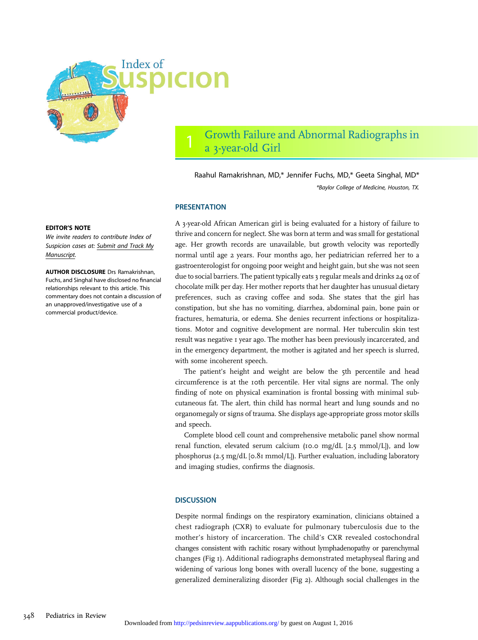

# 1 Growth Failure and Abnormal Radiographs in a 3-year-old Girl

Raahul Ramakrishnan, MD,\* Jennifer Fuchs, MD,\* Geeta Singhal, MD\* \*Baylor College of Medicine, Houston, TX.

### **PRESENTATION**

A 3-year-old African American girl is being evaluated for a history of failure to thrive and concern for neglect. She was born at term and was small for gestational age. Her growth records are unavailable, but growth velocity was reportedly normal until age 2 years. Four months ago, her pediatrician referred her to a gastroenterologist for ongoing poor weight and height gain, but she was not seen due to social barriers. The patient typically eats 3 regular meals and drinks 24 oz of chocolate milk per day. Her mother reports that her daughter has unusual dietary preferences, such as craving coffee and soda. She states that the girl has constipation, but she has no vomiting, diarrhea, abdominal pain, bone pain or fractures, hematuria, or edema. She denies recurrent infections or hospitalizations. Motor and cognitive development are normal. Her tuberculin skin test result was negative 1 year ago. The mother has been previously incarcerated, and in the emergency department, the mother is agitated and her speech is slurred, with some incoherent speech.

The patient's height and weight are below the 5th percentile and head circumference is at the 10th percentile. Her vital signs are normal. The only finding of note on physical examination is frontal bossing with minimal subcutaneous fat. The alert, thin child has normal heart and lung sounds and no organomegaly or signs of trauma. She displays age-appropriate gross motor skills and speech.

Complete blood cell count and comprehensive metabolic panel show normal renal function, elevated serum calcium (10.0 mg/dL  $[2.5 \text{ mmol/L}]$ ), and low phosphorus (2.5 mg/dL [0.81 mmol/L]). Further evaluation, including laboratory and imaging studies, confirms the diagnosis.

## **DISCUSSION**

Despite normal findings on the respiratory examination, clinicians obtained a chest radiograph (CXR) to evaluate for pulmonary tuberculosis due to the mother's history of incarceration. The child's CXR revealed costochondral changes consistent with rachitic rosary without lymphadenopathy or parenchymal changes (Fig 1). Additional radiographs demonstrated metaphyseal flaring and widening of various long bones with overall lucency of the bone, suggesting a generalized demineralizing disorder (Fig 2). Although social challenges in the

#### EDITOR'S NOTE

We invite readers to contribute Index of Suspicion cases at: [Submit and Track My](http://mc.manuscriptcentral.com/pir) [Manuscript.](http://mc.manuscriptcentral.com/pir)

AUTHOR DISCLOSURE Drs Ramakrishnan, Fuchs, and Singhal have disclosed no financial relationships relevant to this article. This commentary does not contain a discussion of an unapproved/investigative use of a commercial product/device.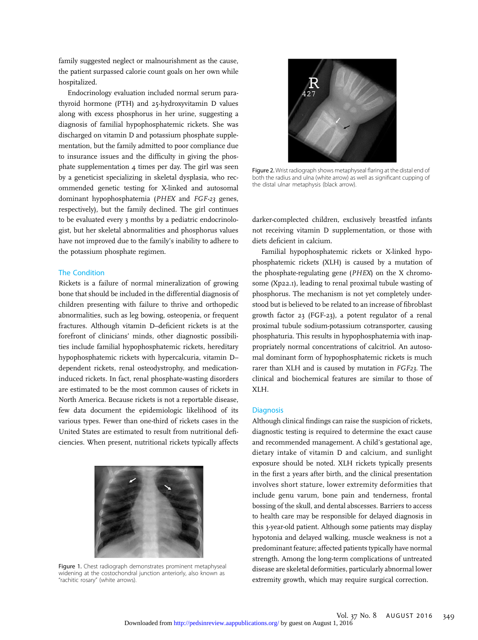family suggested neglect or malnourishment as the cause, the patient surpassed calorie count goals on her own while hospitalized.

Endocrinology evaluation included normal serum parathyroid hormone (PTH) and 25-hydroxyvitamin D values along with excess phosphorus in her urine, suggesting a diagnosis of familial hypophosphatemic rickets. She was discharged on vitamin D and potassium phosphate supplementation, but the family admitted to poor compliance due to insurance issues and the difficulty in giving the phosphate supplementation 4 times per day. The girl was seen by a geneticist specializing in skeletal dysplasia, who recommended genetic testing for X-linked and autosomal dominant hypophosphatemia (PHEX and FGF-23 genes, respectively), but the family declined. The girl continues to be evaluated every 3 months by a pediatric endocrinologist, but her skeletal abnormalities and phosphorus values have not improved due to the family's inability to adhere to the potassium phosphate regimen.

#### The Condition

Rickets is a failure of normal mineralization of growing bone that should be included in the differential diagnosis of children presenting with failure to thrive and orthopedic abnormalities, such as leg bowing, osteopenia, or frequent fractures. Although vitamin D–deficient rickets is at the forefront of clinicians' minds, other diagnostic possibilities include familial hypophosphatemic rickets, hereditary hypophosphatemic rickets with hypercalcuria, vitamin D– dependent rickets, renal osteodystrophy, and medicationinduced rickets. In fact, renal phosphate-wasting disorders are estimated to be the most common causes of rickets in North America. Because rickets is not a reportable disease, few data document the epidemiologic likelihood of its various types. Fewer than one-third of rickets cases in the United States are estimated to result from nutritional deficiencies. When present, nutritional rickets typically affects



Figure 1. Chest radiograph demonstrates prominent metaphyseal widening at the costochondral junction anteriorly, also known as "rachitic rosary" (white arrows).



Figure 2. Wrist radiograph shows metaphyseal flaring at the distal end of both the radius and ulna (white arrow) as well as significant cupping of the distal ulnar metaphysis (black arrow).

darker-complected children, exclusively breastfed infants not receiving vitamin D supplementation, or those with diets deficient in calcium.

Familial hypophosphatemic rickets or X-linked hypophosphatemic rickets (XLH) is caused by a mutation of the phosphate-regulating gene (PHEX) on the X chromosome (Xp22.1), leading to renal proximal tubule wasting of phosphorus. The mechanism is not yet completely understood but is believed to be related to an increase of fibroblast growth factor 23 (FGF-23), a potent regulator of a renal proximal tubule sodium-potassium cotransporter, causing phosphaturia. This results in hypophosphatemia with inappropriately normal concentrations of calcitriol. An autosomal dominant form of hypophosphatemic rickets is much rarer than XLH and is caused by mutation in FGF23. The clinical and biochemical features are similar to those of XLH.

### **Diagnosis**

Although clinical findings can raise the suspicion of rickets, diagnostic testing is required to determine the exact cause and recommended management. A child's gestational age, dietary intake of vitamin D and calcium, and sunlight exposure should be noted. XLH rickets typically presents in the first 2 years after birth, and the clinical presentation involves short stature, lower extremity deformities that include genu varum, bone pain and tenderness, frontal bossing of the skull, and dental abscesses. Barriers to access to health care may be responsible for delayed diagnosis in this 3-year-old patient. Although some patients may display hypotonia and delayed walking, muscle weakness is not a predominant feature; affected patients typically have normal strength. Among the long-term complications of untreated disease are skeletal deformities, particularly abnormal lower extremity growth, which may require surgical correction.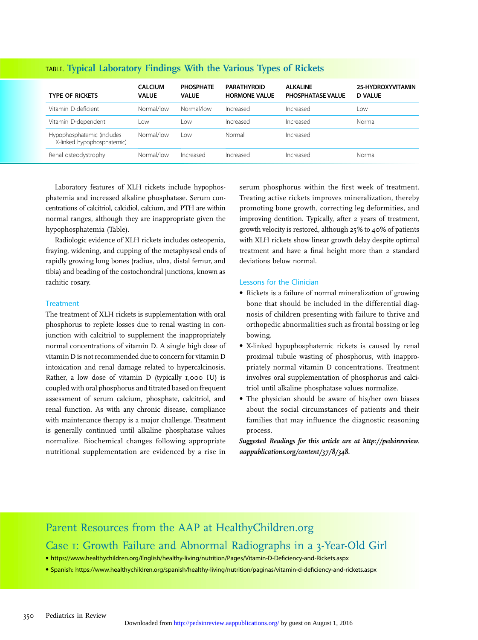| <b>TYPE OF RICKETS</b>                                   | <b>CALCIUM</b><br><b>VALUE</b> | <b>PHOSPHATE</b><br><b>VALUE</b> | <b>PARATHYROID</b><br><b>HORMONE VALUE</b> | <b>ALKALINE</b><br><b>PHOSPHATASE VALUE</b> | 25-HYDROXYVITAMIN<br><b>D VALUE</b> |
|----------------------------------------------------------|--------------------------------|----------------------------------|--------------------------------------------|---------------------------------------------|-------------------------------------|
| Vitamin D-deficient                                      | Normal/low                     | Normal/low                       | Increased                                  | Increased                                   | Low                                 |
| Vitamin D-dependent                                      | l ow                           | LOW                              | Increased                                  | Increased                                   | Normal                              |
| Hypophosphatemic (includes<br>X-linked hypophosphatemic) | Normal/low                     | l ow                             | Normal                                     | Increased                                   |                                     |
| Renal osteodystrophy                                     | Normal/low                     | Increased                        | Increased                                  | Increased                                   | Normal                              |

# TABLE. Typical Laboratory Findings With the Various Types of Rickets

Laboratory features of XLH rickets include hypophosphatemia and increased alkaline phosphatase. Serum concentrations of calcitriol, calcidiol, calcium, and PTH are within normal ranges, although they are inappropriate given the hypophosphatemia (Table).

Radiologic evidence of XLH rickets includes osteopenia, fraying, widening, and cupping of the metaphyseal ends of rapidly growing long bones (radius, ulna, distal femur, and tibia) and beading of the costochondral junctions, known as rachitic rosary.

## **Treatment**

The treatment of XLH rickets is supplementation with oral phosphorus to replete losses due to renal wasting in conjunction with calcitriol to supplement the inappropriately normal concentrations of vitamin D. A single high dose of vitamin D is not recommended due to concern for vitamin D intoxication and renal damage related to hypercalcinosis. Rather, a low dose of vitamin D (typically 1,000 IU) is coupled with oral phosphorus and titrated based on frequent assessment of serum calcium, phosphate, calcitriol, and renal function. As with any chronic disease, compliance with maintenance therapy is a major challenge. Treatment is generally continued until alkaline phosphatase values normalize. Biochemical changes following appropriate nutritional supplementation are evidenced by a rise in

serum phosphorus within the first week of treatment. Treating active rickets improves mineralization, thereby promoting bone growth, correcting leg deformities, and improving dentition. Typically, after 2 years of treatment, growth velocity is restored, although 25% to 40% of patients with XLH rickets show linear growth delay despite optimal treatment and have a final height more than 2 standard deviations below normal.

## Lessons for the Clinician

- Rickets is a failure of normal mineralization of growing bone that should be included in the differential diagnosis of children presenting with failure to thrive and orthopedic abnormalities such as frontal bossing or leg bowing.
- X-linked hypophosphatemic rickets is caused by renal proximal tubule wasting of phosphorus, with inappropriately normal vitamin D concentrations. Treatment involves oral supplementation of phosphorus and calcitriol until alkaline phosphatase values normalize.
- The physician should be aware of his/her own biases about the social circumstances of patients and their families that may influence the diagnostic reasoning process.

Suggested Readings for this article are at [http://pedsinreview.](http://pedsinreview.aappublications.org/content/37/8/348) [aappublications.org/content/37/8/348](http://pedsinreview.aappublications.org/content/37/8/348).

# Parent Resources from the AAP at HealthyChildren.org

Case 1: Growth Failure and Abnormal Radiographs in a 3-Year-Old Girl

• [https://www.healthychildren.org/English/healthy-living/nutrition/Pages/Vitamin-D-De](https://www.healthychildren.org/English/healthy-living/nutrition/Pages/Vitamin-D-Deficiency-and-Rickets.aspx)ficiency-and-Rickets.aspx

• Spanish: [https://www.healthychildren.org/spanish/healthy-living/nutrition/paginas/vitamin-d-de](https://www.healthychildren.org/spanish/healthy-living/nutrition/paginas/vitamin-d-deficiency-and-rickets.aspx)ficiency-and-rickets.aspx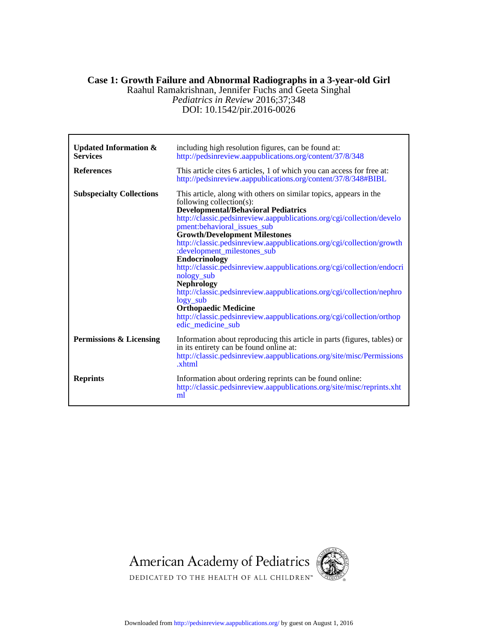# *Pediatrics in Review* 2016;37;348 Raahul Ramakrishnan, Jennifer Fuchs and Geeta Singhal **Case 1: Growth Failure and Abnormal Radiographs in a 3-year-old Girl**

DOI: 10.1542/pir.2016-0026

| <b>Updated Information &amp;</b><br><b>Services</b> | including high resolution figures, can be found at:<br>http://pedsinreview.aappublications.org/content/37/8/348                                                                                                                                                                                                                                                                                                                                                                                                                                                                                                                                                                                                                                               |
|-----------------------------------------------------|---------------------------------------------------------------------------------------------------------------------------------------------------------------------------------------------------------------------------------------------------------------------------------------------------------------------------------------------------------------------------------------------------------------------------------------------------------------------------------------------------------------------------------------------------------------------------------------------------------------------------------------------------------------------------------------------------------------------------------------------------------------|
| <b>References</b>                                   | This article cites 6 articles, 1 of which you can access for free at:<br>http://pedsinreview.aappublications.org/content/37/8/348#BIBL                                                                                                                                                                                                                                                                                                                                                                                                                                                                                                                                                                                                                        |
| <b>Subspecialty Collections</b>                     | This article, along with others on similar topics, appears in the<br>following collection(s):<br><b>Developmental/Behavioral Pediatrics</b><br>http://classic.pedsinreview.aappublications.org/cgi/collection/develo<br>pment:behavioral_issues_sub<br><b>Growth/Development Milestones</b><br>http://classic.pedsinreview.aappublications.org/cgi/collection/growth<br>:development_milestones_sub<br><b>Endocrinology</b><br>http://classic.pedsinreview.aappublications.org/cgi/collection/endocri<br>nology_sub<br><b>Nephrology</b><br>http://classic.pedsinreview.aappublications.org/cgi/collection/nephro<br>$logy$ _sub<br><b>Orthopaedic Medicine</b><br>http://classic.pedsinreview.aappublications.org/cgi/collection/orthop<br>edic medicine sub |
| Permissions & Licensing                             | Information about reproducing this article in parts (figures, tables) or<br>in its entirety can be found online at:<br>http://classic.pedsinreview.aappublications.org/site/misc/Permissions<br>.xhtml                                                                                                                                                                                                                                                                                                                                                                                                                                                                                                                                                        |
| <b>Reprints</b>                                     | Information about ordering reprints can be found online:<br>http://classic.pedsinreview.aappublications.org/site/misc/reprints.xht<br>ml                                                                                                                                                                                                                                                                                                                                                                                                                                                                                                                                                                                                                      |